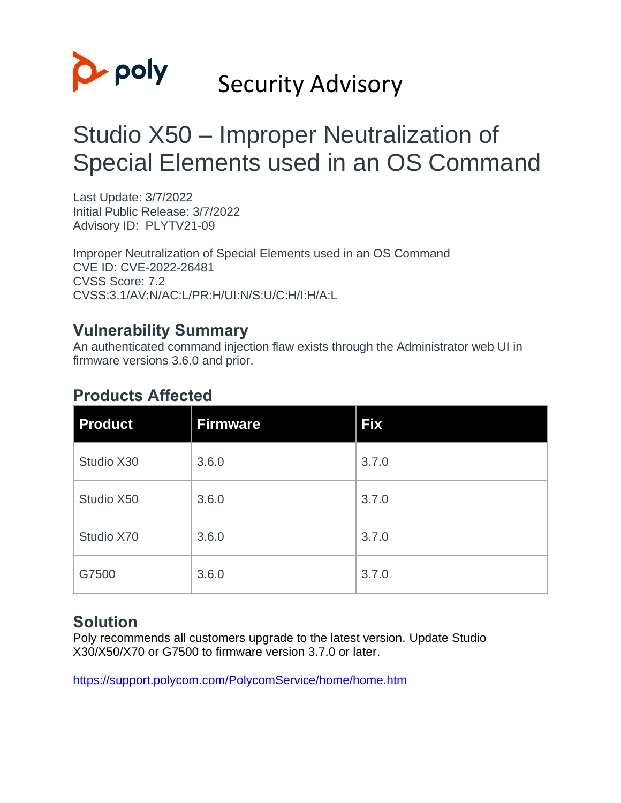

# Security Advisory

# Studio X50 – Improper Neutralization of Special Elements used in an OS Command

Last Update: 3/7/2022 Initial Public Release: 3/7/2022 Advisory ID: PLYTV21-09

Improper Neutralization of Special Elements used in an OS Command CVE ID: CVE-2022-26481 CVSS Score: 7.2 CVSS:3.1/AV:N/AC:L/PR:H/UI:N/S:U/C:H/I:H/A:L

## **Vulnerability Summary**

An authenticated command injection flaw exists through the Administrator web UI in firmware versions 3.6.0 and prior.

## **Products Affected**

| <b>Product</b> | <b>Firmware</b> | <b>Fix</b> |
|----------------|-----------------|------------|
| Studio X30     | 3.6.0           | 3.7.0      |
| Studio X50     | 3.6.0           | 3.7.0      |
| Studio X70     | 3.6.0           | 3.7.0      |
| G7500          | 3.6.0           | 3.7.0      |

## **Solution**

Poly recommends all customers upgrade to the latest version. Update Studio X30/X50/X70 or G7500 to firmware version 3.7.0 or later.

<https://support.polycom.com/PolycomService/home/home.htm>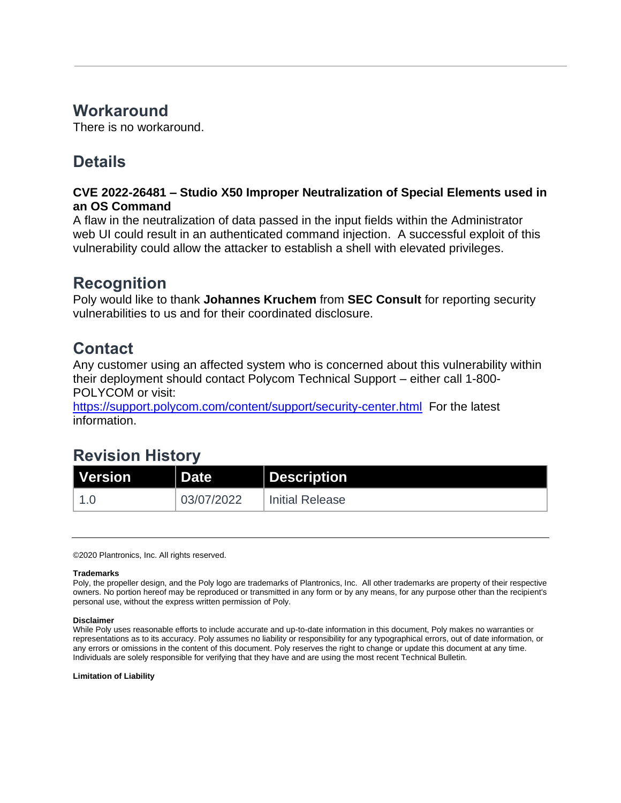## **Workaround**

There is no workaround.

## **Details**

### **CVE 2022-26481 – Studio X50 Improper Neutralization of Special Elements used in an OS Command**

A flaw in the neutralization of data passed in the input fields within the Administrator web UI could result in an authenticated command injection. A successful exploit of this vulnerability could allow the attacker to establish a shell with elevated privileges.

## **Recognition**

Poly would like to thank **Johannes Kruchem** from **SEC Consult** for reporting security vulnerabilities to us and for their coordinated disclosure.

## **Contact**

Any customer using an affected system who is concerned about this vulnerability within their deployment should contact Polycom Technical Support – either call 1-800- POLYCOM or visit:

<https://support.polycom.com/content/support/security-center.html>For the latest information.

## **Revision History**

| l Version | <b>N</b> Date | Description            |
|-----------|---------------|------------------------|
|           | 03/07/2022    | <b>Initial Release</b> |

©2020 Plantronics, Inc. All rights reserved.

### **Trademarks**

Poly, the propeller design, and the Poly logo are trademarks of Plantronics, Inc. All other trademarks are property of their respective owners. No portion hereof may be reproduced or transmitted in any form or by any means, for any purpose other than the recipient's personal use, without the express written permission of Poly.

#### **Disclaimer**

While Poly uses reasonable efforts to include accurate and up-to-date information in this document, Poly makes no warranties or representations as to its accuracy. Poly assumes no liability or responsibility for any typographical errors, out of date information, or any errors or omissions in the content of this document. Poly reserves the right to change or update this document at any time. Individuals are solely responsible for verifying that they have and are using the most recent Technical Bulletin.

**Limitation of Liability**